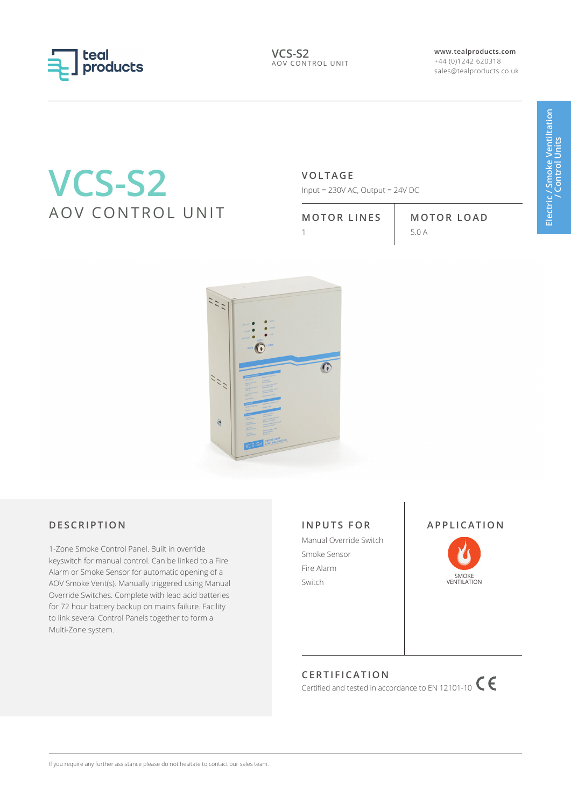

**www.tealproducts.com** +44 (0)1242 620318 sales@tealproducts.co.uk

# **VCS-S2** AOV CONTROL UNIT

# **VOLTAGE**

Input = 230V AC, Output = 24V DC

**MOTOR LINES MOTOR LOAD** 1  $5.0 A$ 



### **DESCRIPTION**

1-Zone Smoke Control Panel. Built in override keyswitch for manual control. Can be linked to a Fire Alarm or Smoke Sensor for automatic opening of a AOV Smoke Vent(s). Manually triggered using Manual Override Switches. Complete with lead acid batteries for 72 hour battery backup on mains failure. Facility to link several Control Panels together to form a Multi-Zone system.

#### **INPUTS FOR**

Manual Override Switch Smoke Sensor Fire Alarm Switch SMOKE VENTILATION



# **CERTIFICATION**

Certified and tested in accordance to EN 12101-10